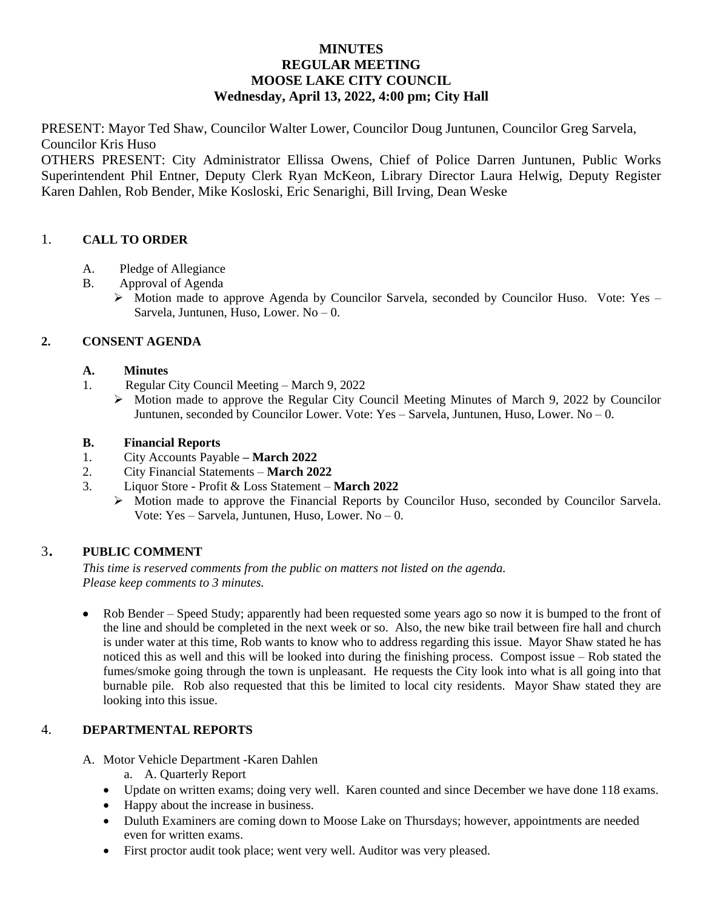# **MINUTES REGULAR MEETING MOOSE LAKE CITY COUNCIL Wednesday, April 13, 2022, 4:00 pm; City Hall**

PRESENT: Mayor Ted Shaw, Councilor Walter Lower, Councilor Doug Juntunen, Councilor Greg Sarvela, Councilor Kris Huso

OTHERS PRESENT: City Administrator Ellissa Owens, Chief of Police Darren Juntunen, Public Works Superintendent Phil Entner, Deputy Clerk Ryan McKeon, Library Director Laura Helwig, Deputy Register Karen Dahlen, Rob Bender, Mike Kosloski, Eric Senarighi, Bill Irving, Dean Weske

# 1. **CALL TO ORDER**

- A. Pledge of Allegiance
- B. Approval of Agenda
	- $\triangleright$  Motion made to approve Agenda by Councilor Sarvela, seconded by Councilor Huso. Vote: Yes Sarvela, Juntunen, Huso, Lower. No – 0.

# **2. CONSENT AGENDA**

- **A. Minutes**
- 1. Regular City Council Meeting March 9, 2022
	- $\triangleright$  Motion made to approve the Regular City Council Meeting Minutes of March 9, 2022 by Councilor Juntunen, seconded by Councilor Lower. Vote: Yes – Sarvela, Juntunen, Huso, Lower. No – 0.

### **B. Financial Reports**

- 1. City Accounts Payable **– March 2022**
- 2. City Financial Statements **March 2022**
- 3. Liquor Store Profit & Loss Statement **March 2022**
	- $\triangleright$  Motion made to approve the Financial Reports by Councilor Huso, seconded by Councilor Sarvela. Vote: Yes – Sarvela, Juntunen, Huso, Lower. No – 0.

## <sup>3</sup>. **PUBLIC COMMENT**

*This time is reserved comments from the public on matters not listed on the agenda. Please keep comments to 3 minutes.*

• Rob Bender – Speed Study; apparently had been requested some years ago so now it is bumped to the front of the line and should be completed in the next week or so. Also, the new bike trail between fire hall and church is under water at this time, Rob wants to know who to address regarding this issue. Mayor Shaw stated he has noticed this as well and this will be looked into during the finishing process. Compost issue – Rob stated the fumes/smoke going through the town is unpleasant. He requests the City look into what is all going into that burnable pile. Rob also requested that this be limited to local city residents. Mayor Shaw stated they are looking into this issue.

## 4. **DEPARTMENTAL REPORTS**

- A. Motor Vehicle Department -Karen Dahlen
	- a. A. Quarterly Report
	- Update on written exams; doing very well. Karen counted and since December we have done 118 exams.
	- Happy about the increase in business.
	- Duluth Examiners are coming down to Moose Lake on Thursdays; however, appointments are needed even for written exams.
	- First proctor audit took place; went very well. Auditor was very pleased.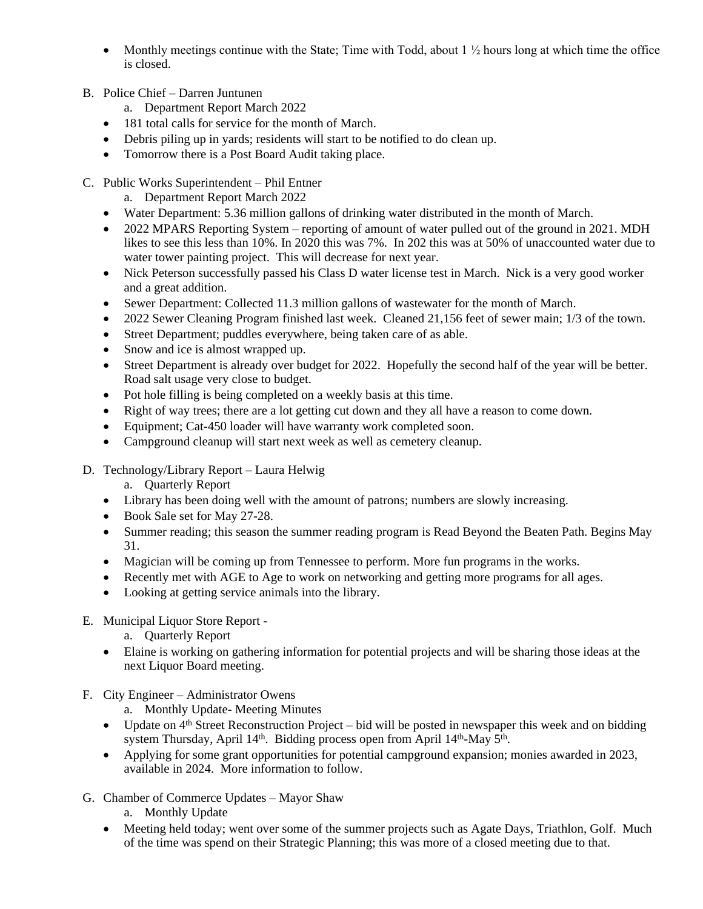- Monthly meetings continue with the State; Time with Todd, about  $1\frac{1}{2}$  hours long at which time the office is closed.
- B. Police Chief Darren Juntunen
	- a. Department Report March 2022
	- 181 total calls for service for the month of March.
	- Debris piling up in yards; residents will start to be notified to do clean up.
	- Tomorrow there is a Post Board Audit taking place.
- C. Public Works Superintendent Phil Entner
	- a. Department Report March 2022
	- Water Department: 5.36 million gallons of drinking water distributed in the month of March.
	- 2022 MPARS Reporting System reporting of amount of water pulled out of the ground in 2021. MDH likes to see this less than 10%. In 2020 this was 7%. In 202 this was at 50% of unaccounted water due to water tower painting project. This will decrease for next year.
	- Nick Peterson successfully passed his Class D water license test in March. Nick is a very good worker and a great addition.
	- Sewer Department: Collected 11.3 million gallons of wastewater for the month of March.
	- 2022 Sewer Cleaning Program finished last week. Cleaned 21,156 feet of sewer main; 1/3 of the town.
	- Street Department; puddles everywhere, being taken care of as able.
	- Snow and ice is almost wrapped up.
	- Street Department is already over budget for 2022. Hopefully the second half of the year will be better. Road salt usage very close to budget.
	- Pot hole filling is being completed on a weekly basis at this time.
	- Right of way trees; there are a lot getting cut down and they all have a reason to come down.
	- Equipment; Cat-450 loader will have warranty work completed soon.
	- Campground cleanup will start next week as well as cemetery cleanup.
- D. Technology/Library Report Laura Helwig
	- a. Quarterly Report
	- Library has been doing well with the amount of patrons; numbers are slowly increasing.
	- Book Sale set for May 27-28.
	- Summer reading; this season the summer reading program is Read Beyond the Beaten Path. Begins May 31.
	- Magician will be coming up from Tennessee to perform. More fun programs in the works.
	- Recently met with AGE to Age to work on networking and getting more programs for all ages.
	- Looking at getting service animals into the library.

## E. Municipal Liquor Store Report -

- a. Quarterly Report
- Elaine is working on gathering information for potential projects and will be sharing those ideas at the next Liquor Board meeting.
- F. City Engineer Administrator Owens
	- a. Monthly Update- Meeting Minutes
	- $\bullet$  Update on 4<sup>th</sup> Street Reconstruction Project bid will be posted in newspaper this week and on bidding system Thursday, April 14<sup>th</sup>. Bidding process open from April 14<sup>th</sup>-May 5<sup>th</sup>.
	- Applying for some grant opportunities for potential campground expansion; monies awarded in 2023, available in 2024. More information to follow.
- G. Chamber of Commerce Updates Mayor Shaw
	- a. Monthly Update
	- Meeting held today; went over some of the summer projects such as Agate Days, Triathlon, Golf. Much of the time was spend on their Strategic Planning; this was more of a closed meeting due to that.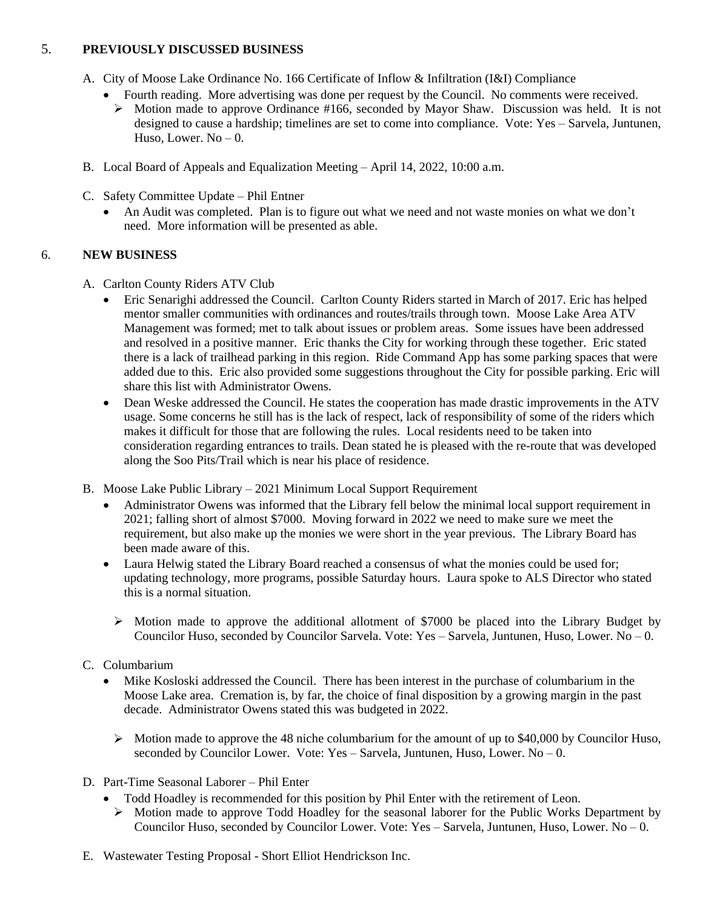### 5. **PREVIOUSLY DISCUSSED BUSINESS**

- A. City of Moose Lake Ordinance No. 166 Certificate of Inflow & Infiltration (I&I) Compliance
	- Fourth reading. More advertising was done per request by the Council. No comments were received.
	- $\triangleright$  Motion made to approve Ordinance #166, seconded by Mayor Shaw. Discussion was held. It is not designed to cause a hardship; timelines are set to come into compliance. Vote: Yes – Sarvela, Juntunen, Huso, Lower.  $No - 0$ .
- B. Local Board of Appeals and Equalization Meeting April 14, 2022, 10:00 a.m.
- C. Safety Committee Update Phil Entner
	- An Audit was completed. Plan is to figure out what we need and not waste monies on what we don't need. More information will be presented as able.

# 6. **NEW BUSINESS**

- A. Carlton County Riders ATV Club
	- Eric Senarighi addressed the Council. Carlton County Riders started in March of 2017. Eric has helped mentor smaller communities with ordinances and routes/trails through town. Moose Lake Area ATV Management was formed; met to talk about issues or problem areas. Some issues have been addressed and resolved in a positive manner. Eric thanks the City for working through these together. Eric stated there is a lack of trailhead parking in this region. Ride Command App has some parking spaces that were added due to this. Eric also provided some suggestions throughout the City for possible parking. Eric will share this list with Administrator Owens.
	- Dean Weske addressed the Council. He states the cooperation has made drastic improvements in the ATV usage. Some concerns he still has is the lack of respect, lack of responsibility of some of the riders which makes it difficult for those that are following the rules. Local residents need to be taken into consideration regarding entrances to trails. Dean stated he is pleased with the re-route that was developed along the Soo Pits/Trail which is near his place of residence.
- B. Moose Lake Public Library 2021 Minimum Local Support Requirement
	- Administrator Owens was informed that the Library fell below the minimal local support requirement in 2021; falling short of almost \$7000. Moving forward in 2022 we need to make sure we meet the requirement, but also make up the monies we were short in the year previous. The Library Board has been made aware of this.
	- Laura Helwig stated the Library Board reached a consensus of what the monies could be used for; updating technology, more programs, possible Saturday hours. Laura spoke to ALS Director who stated this is a normal situation.
		- $\triangleright$  Motion made to approve the additional allotment of \$7000 be placed into the Library Budget by Councilor Huso, seconded by Councilor Sarvela. Vote: Yes – Sarvela, Juntunen, Huso, Lower. No – 0.

# C. Columbarium

- Mike Kosloski addressed the Council. There has been interest in the purchase of columbarium in the Moose Lake area. Cremation is, by far, the choice of final disposition by a growing margin in the past decade. Administrator Owens stated this was budgeted in 2022.
	- $\triangleright$  Motion made to approve the 48 niche columbarium for the amount of up to \$40,000 by Councilor Huso, seconded by Councilor Lower. Vote: Yes – Sarvela, Juntunen, Huso, Lower. No – 0.
- D. Part-Time Seasonal Laborer Phil Enter
	- Todd Hoadley is recommended for this position by Phil Enter with the retirement of Leon.
	- $\triangleright$  Motion made to approve Todd Hoadley for the seasonal laborer for the Public Works Department by Councilor Huso, seconded by Councilor Lower. Vote: Yes – Sarvela, Juntunen, Huso, Lower. No – 0.
- E. Wastewater Testing Proposal Short Elliot Hendrickson Inc.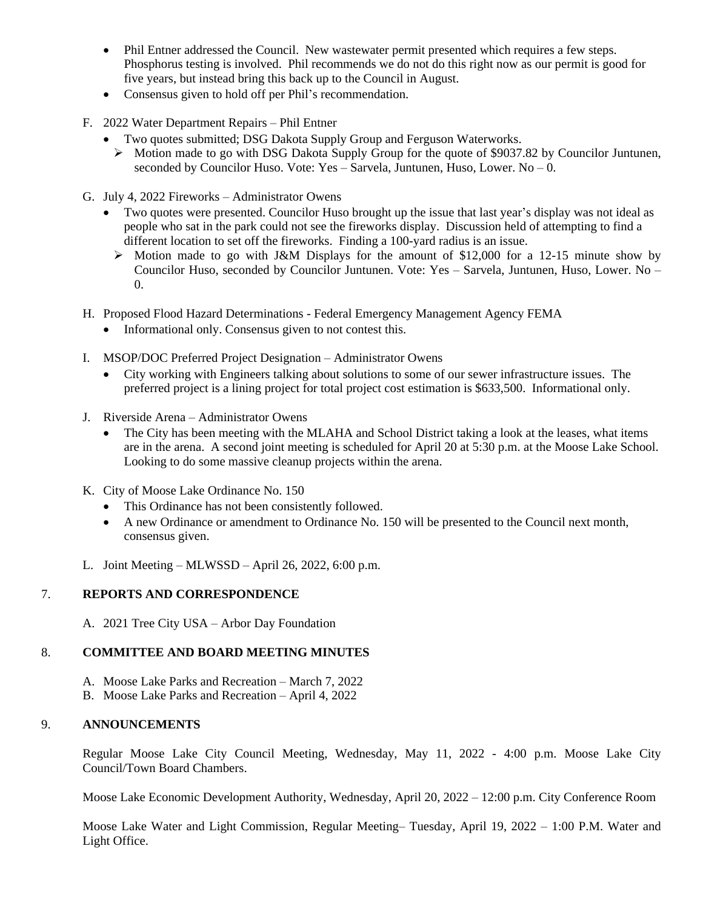- Phil Entner addressed the Council. New wastewater permit presented which requires a few steps. Phosphorus testing is involved. Phil recommends we do not do this right now as our permit is good for five years, but instead bring this back up to the Council in August.
- Consensus given to hold off per Phil's recommendation.
- F. 2022 Water Department Repairs Phil Entner
	- Two quotes submitted; DSG Dakota Supply Group and Ferguson Waterworks.
		- $\triangleright$  Motion made to go with DSG Dakota Supply Group for the quote of \$9037.82 by Councilor Juntunen, seconded by Councilor Huso. Vote: Yes – Sarvela, Juntunen, Huso, Lower. No – 0.
- G. July 4, 2022 Fireworks Administrator Owens
	- Two quotes were presented. Councilor Huso brought up the issue that last year's display was not ideal as people who sat in the park could not see the fireworks display. Discussion held of attempting to find a different location to set off the fireworks. Finding a 100-yard radius is an issue.
		- $\triangleright$  Motion made to go with J&M Displays for the amount of \$12,000 for a 12-15 minute show by Councilor Huso, seconded by Councilor Juntunen. Vote: Yes – Sarvela, Juntunen, Huso, Lower. No – 0.
- H. Proposed Flood Hazard Determinations Federal Emergency Management Agency FEMA
	- Informational only. Consensus given to not contest this.
- I. MSOP/DOC Preferred Project Designation Administrator Owens
	- City working with Engineers talking about solutions to some of our sewer infrastructure issues. The preferred project is a lining project for total project cost estimation is \$633,500. Informational only.
- J. Riverside Arena Administrator Owens
	- The City has been meeting with the MLAHA and School District taking a look at the leases, what items are in the arena. A second joint meeting is scheduled for April 20 at 5:30 p.m. at the Moose Lake School. Looking to do some massive cleanup projects within the arena.
- K. City of Moose Lake Ordinance No. 150
	- This Ordinance has not been consistently followed.
	- A new Ordinance or amendment to Ordinance No. 150 will be presented to the Council next month, consensus given.
- L. Joint Meeting MLWSSD April 26, 2022, 6:00 p.m.

## 7. **REPORTS AND CORRESPONDENCE**

A. 2021 Tree City USA – Arbor Day Foundation

#### 8. **COMMITTEE AND BOARD MEETING MINUTES**

- A. Moose Lake Parks and Recreation March 7, 2022
- B. Moose Lake Parks and Recreation April 4, 2022

#### 9. **ANNOUNCEMENTS**

Regular Moose Lake City Council Meeting, Wednesday, May 11, 2022 - 4:00 p.m. Moose Lake City Council/Town Board Chambers.

Moose Lake Economic Development Authority, Wednesday, April 20, 2022 – 12:00 p.m. City Conference Room

Moose Lake Water and Light Commission, Regular Meeting– Tuesday, April 19, 2022 – 1:00 P.M. Water and Light Office.